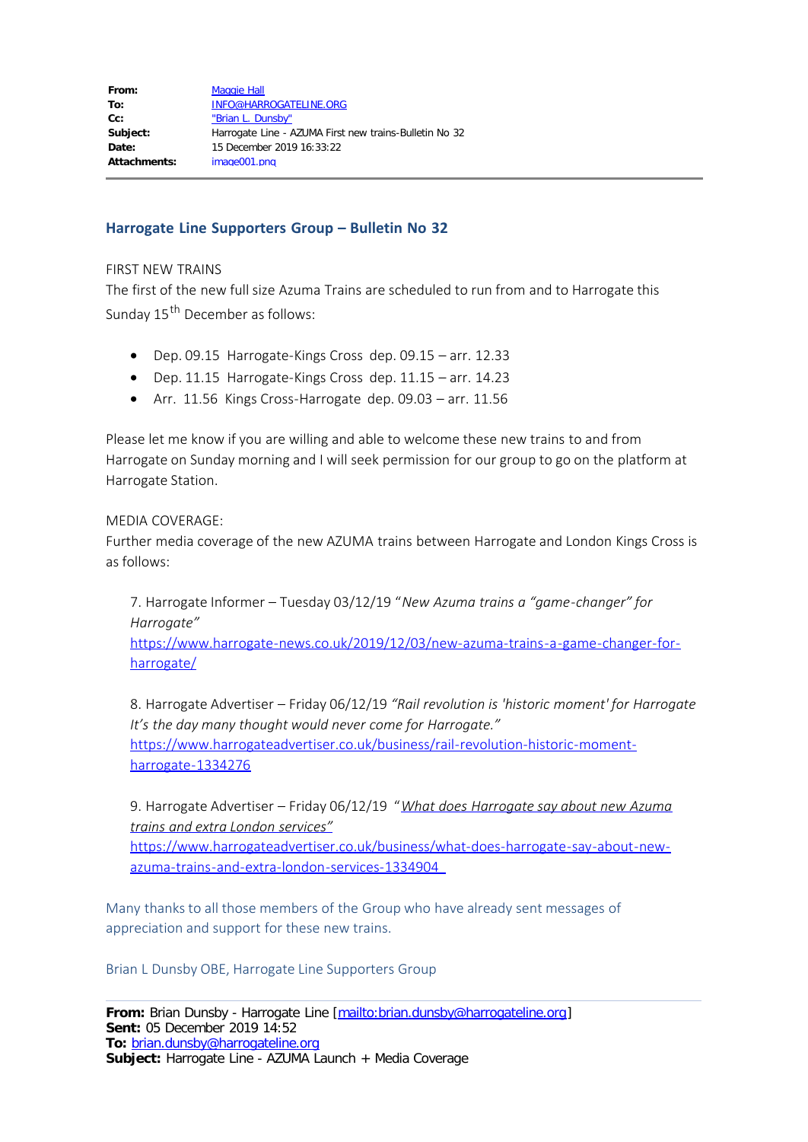## **Harrogate Line Supporters Group – Bulletin No 32**

## FIRST NEW TRAINS

The first of the new full size Azuma Trains are scheduled to run from and to Harrogate this Sunday 15<sup>th</sup> December as follows:

- · Dep. 09.15 Harrogate-Kings Cross dep. 09.15 arr. 12.33
- · Dep. 11.15 Harrogate-Kings Cross dep. 11.15 arr. 14.23
- · Arr. 11.56 Kings Cross-Harrogate dep. 09.03 arr. 11.56

Please let me know if you are willing and able to welcome these new trains to and from Harrogate on Sunday morning and I will seek permission for our group to go on the platform at Harrogate Station.

## MEDIA COVERAGE:

Further media coverage of the new AZUMA trains between Harrogate and London Kings Cross is as follows:

7. Harrogate Informer – Tuesday 03/12/19 "*New Azuma trains a "game-changer" for Harrogate"*

[https://www.harrogate-news.co.uk/2019/12/03/new-azuma-trains-a-game-changer-for](https://www.harrogate-news.co.uk/2019/12/03/new-azuma-trains-a-game-changer-for-harrogate/)[harrogate/](https://www.harrogate-news.co.uk/2019/12/03/new-azuma-trains-a-game-changer-for-harrogate/)

8. Harrogate Advertiser – Friday 06/12/19 *"Rail revolution is 'historic moment' for Harrogate It's the day many thought would never come for Harrogate."* [https://www.harrogateadvertiser.co.uk/business/rail-revolution-historic-moment](https://www.harrogateadvertiser.co.uk/business/rail-revolution-historic-moment-harrogate-1334276)[harrogate-1334276](https://www.harrogateadvertiser.co.uk/business/rail-revolution-historic-moment-harrogate-1334276)

9. Harrogate Advertiser – Friday 06/12/19 "*[What does Harrogate say about new Azuma](https://www.google.com/url?rct=j&sa=t&url=https://www.harrogateadvertiser.co.uk/business/what-does-harrogate-say-about-new-azuma-trains-and-extra-london-services-1334904&ct=ga&cd=CAEYASoRMzI0OTk0MjkwNTQ5MzAyOTAyGjRiNGIwNmNlMmM4YTk4ZDE6Y29tOmVuOlVT&usg=AFQjCNGEbKXU741m4L2o6AjQ4BG4-4kavA) [trains and extra London services"](https://www.google.com/url?rct=j&sa=t&url=https://www.harrogateadvertiser.co.uk/business/what-does-harrogate-say-about-new-azuma-trains-and-extra-london-services-1334904&ct=ga&cd=CAEYASoRMzI0OTk0MjkwNTQ5MzAyOTAyGjRiNGIwNmNlMmM4YTk4ZDE6Y29tOmVuOlVT&usg=AFQjCNGEbKXU741m4L2o6AjQ4BG4-4kavA)*

[https://www.harrogateadvertiser.co.uk/business/what-does-harrogate-say-about-new](https://www.google.com/url?rct=j&sa=t&url=https://www.harrogateadvertiser.co.uk/business/what-does-harrogate-say-about-new-azuma-trains-and-extra-london-services-1334904&ct=ga&cd=CAEYASoRMzI0OTk0MjkwNTQ5MzAyOTAyGjRiNGIwNmNlMmM4YTk4ZDE6Y29tOmVuOlVT&usg=AFQjCNGEbKXU741m4L2o6AjQ4BG4-4kavA)[azuma-trains-and-extra-london-services-1334904](https://www.google.com/url?rct=j&sa=t&url=https://www.harrogateadvertiser.co.uk/business/what-does-harrogate-say-about-new-azuma-trains-and-extra-london-services-1334904&ct=ga&cd=CAEYASoRMzI0OTk0MjkwNTQ5MzAyOTAyGjRiNGIwNmNlMmM4YTk4ZDE6Y29tOmVuOlVT&usg=AFQjCNGEbKXU741m4L2o6AjQ4BG4-4kavA)

Many thanks to all those members of the Group who have already sent messages of appreciation and support for these new trains.

Brian L Dunsby OBE, Harrogate Line Supporters Group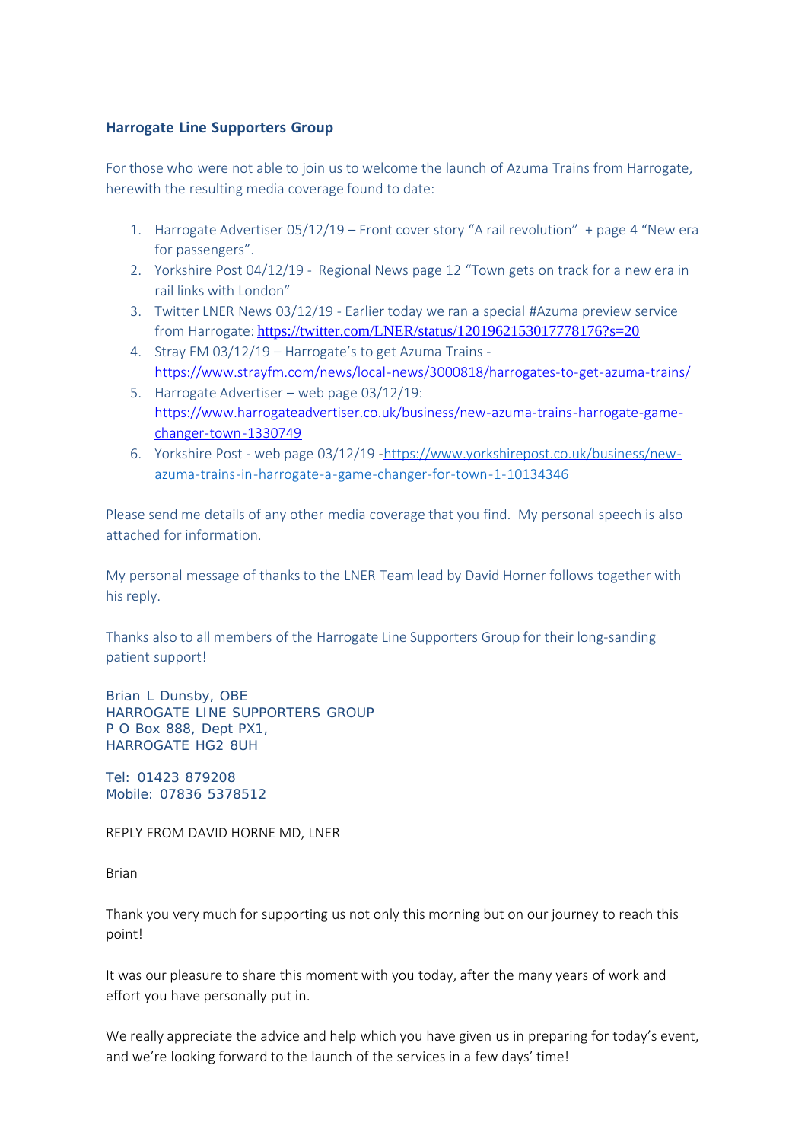## **Harrogate Line Supporters Group**

For those who were not able to join us to welcome the launch of Azuma Trains from Harrogate, herewith the resulting media coverage found to date:

- 1. Harrogate Advertiser 05/12/19 Front cover story "A rail revolution" + page 4 "New era for passengers".
- 2. Yorkshire Post 04/12/19 Regional News page 12 "Town gets on track for a new era in rail links with London"
- 3. Twitter LNER News 03/12/19 Earlier today we ran a special [#Azuma](https://twitter.com/hashtag/Azuma?src=hash) preview service from Harrogate: <https://twitter.com/LNER/status/1201962153017778176?s=20>
- 4. Stray FM 03/12/19 Harrogate's to get Azuma Trains <https://www.strayfm.com/news/local-news/3000818/harrogates-to-get-azuma-trains/>
- 5. Harrogate Advertiser web page 03/12/19: [https://www.harrogateadvertiser.co.uk/business/new-azuma-trains-harrogate-game](https://www.harrogateadvertiser.co.uk/business/new-azuma-trains-harrogate-game-changer-town-1330749)[changer-town-1330749](https://www.harrogateadvertiser.co.uk/business/new-azuma-trains-harrogate-game-changer-town-1330749)
- 6. Yorkshire Post web page 03/12/19 -[https://www.yorkshirepost.co.uk/business/new](https://www.yorkshirepost.co.uk/business/new-azuma-trains-in-harrogate-a-game-changer-for-town-1-10134346)[azuma-trains-in-harrogate-a-game-changer-for-town-1-10134346](https://www.yorkshirepost.co.uk/business/new-azuma-trains-in-harrogate-a-game-changer-for-town-1-10134346)

Please send me details of any other media coverage that you find. My personal speech is also attached for information.

My personal message of thanks to the LNER Team lead by David Horner follows together with his reply.

Thanks also to all members of the Harrogate Line Supporters Group for their long-sanding patient support!

Brian L Dunsby, OBE HARROGATE LINE SUPPORTERS GROUP P O Box 888, Dept PX1, HARROGATE HG2 8UH

Tel: 01423 879208 Mobile: 07836 5378512

REPLY FROM DAVID HORNE MD, LNER

Brian

Thank you very much for supporting us not only this morning but on our journey to reach this point!

It was our pleasure to share this moment with you today, after the many years of work and effort you have personally put in.

We really appreciate the advice and help which you have given us in preparing for today's event, and we're looking forward to the launch of the services in a few days' time!